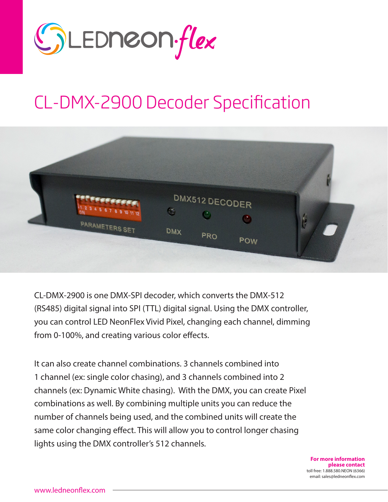

## CL-DMX-2900 Decoder Specification



CL-DMX-2900 is one DMX-SPI decoder, which converts the DMX-512 (RS485) digital signal into SPI (TTL) digital signal. Using the DMX controller, you can control LED NeonFlex Vivid Pixel, changing each channel, dimming from 0-100%, and creating various color effects.

It can also create channel combinations. 3 channels combined into 1 channel (ex: single color chasing), and 3 channels combined into 2 channels (ex: Dynamic White chasing). With the DMX, you can create Pixel combinations as well. By combining multiple units you can reduce the number of channels being used, and the combined units will create the same color changing effect. This will allow you to control longer chasing lights using the DMX controller's 512 channels.

> **For more information please contact** toll free: 1.888.580.NEON (6366) email: sales@ledneonflex.com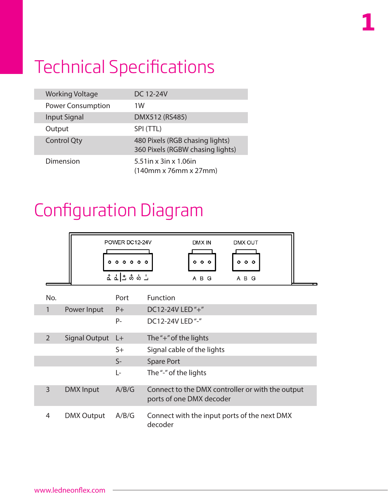## Technical Specifications

| <b>Working Voltage</b>   | DC 12-24V                                                                             |
|--------------------------|---------------------------------------------------------------------------------------|
| <b>Power Consumption</b> | 1W                                                                                    |
| <b>Input Signal</b>      | DMX512 (RS485)                                                                        |
| Output                   | SPI (TTL)                                                                             |
| <b>Control Qty</b>       | 480 Pixels (RGB chasing lights)<br>360 Pixels (RGBW chasing lights)                   |
| Dimension                | $5.51$ in x 3in x 1.06in<br>$(140 \text{mm} \times 76 \text{mm} \times 27 \text{mm})$ |

## Configuration Diagram

|                |                      | POWER DC12-24V<br>000000<br>ᅕᇍᆣᅘᇮᆜ | DMX IN<br>DMX OUT<br>000<br>000<br>A B G<br>A B G                            |
|----------------|----------------------|------------------------------------|------------------------------------------------------------------------------|
| No.            |                      | Port                               | Function                                                                     |
| $\mathbf{1}$   | Power Input          | $P+$                               | DC12-24V LED "+"                                                             |
|                |                      | $P -$                              | DC12-24V LED"-"                                                              |
| $\overline{2}$ | <b>Signal Output</b> | $L+$                               | The "+" of the lights                                                        |
|                |                      | $S+$                               | Signal cable of the lights                                                   |
|                |                      | $S-$                               | <b>Spare Port</b>                                                            |
|                |                      | Ŀ                                  | The "-" of the lights                                                        |
| $\overline{3}$ | <b>DMX</b> Input     | A/B/G                              | Connect to the DMX controller or with the output<br>ports of one DMX decoder |
| 4              | <b>DMX Output</b>    | A/B/G                              | Connect with the input ports of the next DMX<br>decoder                      |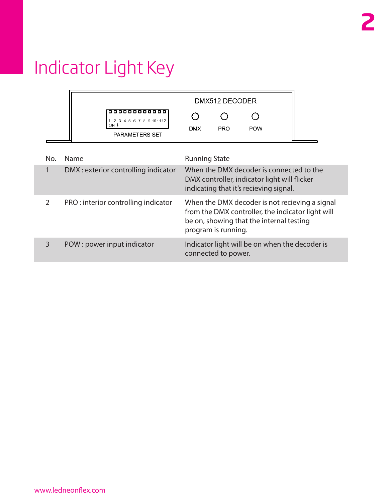# Indicator Light Key

|               |                                                               | DMX512 DECODER                                                                                                                                                         |                     |                                                |  |  |  |  |  |
|---------------|---------------------------------------------------------------|------------------------------------------------------------------------------------------------------------------------------------------------------------------------|---------------------|------------------------------------------------|--|--|--|--|--|
|               | 1 2 3 4 5 6 7 8 9 10 11 12<br>$ON +$<br><b>PARAMETERS SET</b> | <b>DMX</b>                                                                                                                                                             | <b>PRO</b>          | <b>POW</b>                                     |  |  |  |  |  |
| No.           | Name                                                          | <b>Running State</b>                                                                                                                                                   |                     |                                                |  |  |  |  |  |
| 1             | DMX: exterior controlling indicator                           | When the DMX decoder is connected to the<br>DMX controller, indicator light will flicker<br>indicating that it's recieving signal.                                     |                     |                                                |  |  |  |  |  |
| $\mathcal{P}$ | PRO: interior controlling indicator                           | When the DMX decoder is not recieving a signal<br>from the DMX controller, the indicator light will<br>be on, showing that the internal testing<br>program is running. |                     |                                                |  |  |  |  |  |
| 3             | POW: power input indicator                                    |                                                                                                                                                                        | connected to power. | Indicator light will be on when the decoder is |  |  |  |  |  |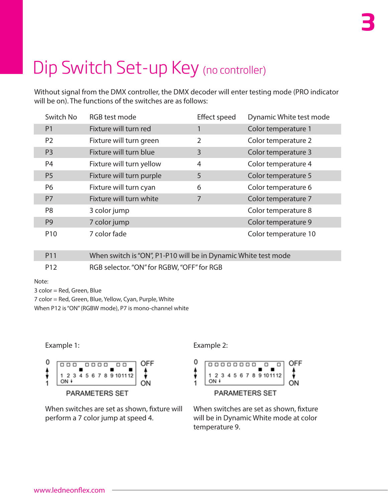# Dip Switch Set-up Key (no controller)

Without signal from the DMX controller, the DMX decoder will enter testing mode (PRO indicator will be on). The functions of the switches are as follows:

| Switch No       | RGB test mode            | <b>Effect speed</b> | Dynamic White test mode |
|-----------------|--------------------------|---------------------|-------------------------|
| P <sub>1</sub>  | Fixture will turn red    | 1                   | Color temperature 1     |
| P <sub>2</sub>  | Fixture will turn green  | $\overline{2}$      | Color temperature 2     |
| P <sub>3</sub>  | Fixture will turn blue   | 3                   | Color temperature 3     |
| P <sub>4</sub>  | Fixture will turn yellow | 4                   | Color temperature 4     |
| P <sub>5</sub>  | Fixture will turn purple | 5                   | Color temperature 5     |
| P6              | Fixture will turn cyan   | 6                   | Color temperature 6     |
| P <sub>7</sub>  | Fixture will turn white  | 7                   | Color temperature 7     |
| P <sub>8</sub>  | 3 color jump             |                     | Color temperature 8     |
| P <sub>9</sub>  | 7 color jump             |                     | Color temperature 9     |
| P <sub>10</sub> | 7 color fade             |                     | Color temperature 10    |

P11 When switch is "ON", P1-P10 will be in Dynamic White test mode P12 RGB selector. "ON" for RGBW, "OFF" for RGB

Note:

3 color = Red, Green, Blue

7 color = Red, Green, Blue, Yellow, Cyan, Purple, White

When P12 is "ON" (RGBW mode), P7 is mono-channel white

Example 1: Example 2:



When switches are set as shown, fixture will perform a 7 color jump at speed 4.



When switches are set as shown, fixture will be in Dynamic White mode at color temperature 9.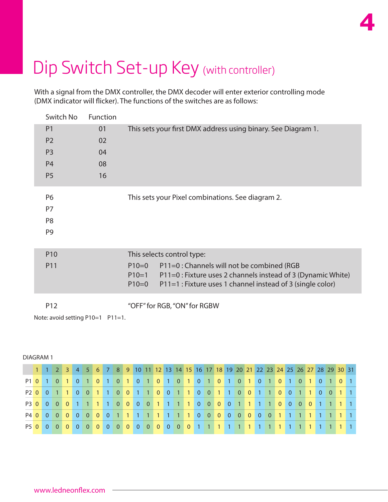## Dip Switch Set-up Key (with controller)

With a signal from the DMX controller, the DMX decoder will enter exterior controlling mode (DMX indicator will flicker). The functions of the switches are as follows:

**4**

| Switch No                                    | <b>Function</b> |                                                                                                                                                                                                           |
|----------------------------------------------|-----------------|-----------------------------------------------------------------------------------------------------------------------------------------------------------------------------------------------------------|
| P <sub>1</sub>                               | 01              | This sets your first DMX address using binary. See Diagram 1.                                                                                                                                             |
| P <sub>2</sub>                               | 02              |                                                                                                                                                                                                           |
| P <sub>3</sub>                               | 04              |                                                                                                                                                                                                           |
| <b>P4</b>                                    | 08              |                                                                                                                                                                                                           |
| P <sub>5</sub>                               | 16              |                                                                                                                                                                                                           |
| P6<br>P7<br>P <sub>8</sub><br>P <sub>9</sub> |                 | This sets your Pixel combinations. See diagram 2.                                                                                                                                                         |
|                                              |                 |                                                                                                                                                                                                           |
| P <sub>10</sub>                              |                 | This selects control type:                                                                                                                                                                                |
| P11                                          |                 | P11=0 : Channels will not be combined (RGB<br>$P10=0$<br>P11=0 : Fixture uses 2 channels instead of 3 (Dynamic White)<br>$P10=1$<br>P11=1 : Fixture uses 1 channel instead of 3 (single color)<br>$P10=0$ |
| P <sub>12</sub>                              |                 | "OFF" for RGB, "ON" for RGBW                                                                                                                                                                              |

Note: avoid setting P10=1 P11=1.

#### DIAGRAM 1

|  |  |  |  |  |  |  |  |  |  |  |  |  |  |  | 1 1 2 3 4 5 6 7 8 9 10 11 12 13 14 15 16 17 18 19 20 21 22 23 24 25 26 27 28 29 30 31 |  |
|--|--|--|--|--|--|--|--|--|--|--|--|--|--|--|---------------------------------------------------------------------------------------|--|
|  |  |  |  |  |  |  |  |  |  |  |  |  |  |  |                                                                                       |  |
|  |  |  |  |  |  |  |  |  |  |  |  |  |  |  | P2 0 0 1 1 0 0 1 1 0 0 1 1 0 0 1 1 0 0 1 1 0 0 1 1 0 0 1 1 0 0 1 1 0 0 1 1 0          |  |
|  |  |  |  |  |  |  |  |  |  |  |  |  |  |  | P3 0 0 0 0 1 1 1 1 0 0 0 0 1 1 1 1 0 0 0 0 0 1 1 1 1 0 0 0 0 1 1 1 1 1 1 1            |  |
|  |  |  |  |  |  |  |  |  |  |  |  |  |  |  | P4 0 0 0 0 0 0 0 0 0 1 1 1 1 1 1 1 1 0 0 0 0 0 0 0 0 0 0 1 1 1 1 1 1 1 1 1            |  |
|  |  |  |  |  |  |  |  |  |  |  |  |  |  |  | P5 0 0 0 0 0 0 0 0 0 0 0 0 0 0 0 0 0 0 1 1 1 1 1 1 1 1 1 1 1 1 1 1 1 1 1 1 1          |  |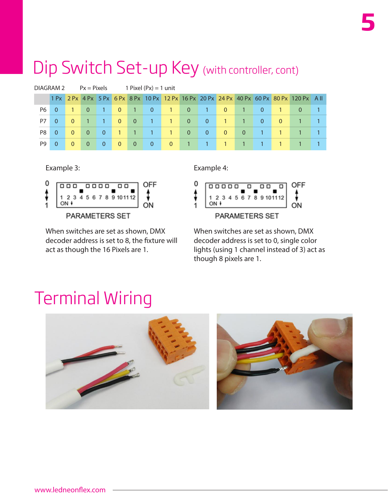### Dip Switch Set-up Key (with controller, cont)

|    | DIAGRAM 2 |          | $Px =$ Pixels  |                |                | 1 Pixel $(Px) = 1$ unit                  |                |                                           |                |              |                |                |              |          |                                                                                          |  |
|----|-----------|----------|----------------|----------------|----------------|------------------------------------------|----------------|-------------------------------------------|----------------|--------------|----------------|----------------|--------------|----------|------------------------------------------------------------------------------------------|--|
|    |           |          |                |                |                |                                          |                |                                           |                |              |                |                |              |          | 1 Px 2 Px 4 Px 5 Px 6 Px 8 Px 10 Px 12 Px 16 Px 20 Px 24 Px 40 Px 60 Px 80 Px 120 Px All |  |
| P6 | $\Omega$  |          | $\Omega$       | <b>41 E</b>    | $\overline{0}$ | <b>AP</b>                                | $\overline{0}$ | $\blacktriangleleft$ $\blacktriangledown$ | $\Omega$       | 1            | $\overline{0}$ |                | $\mathbf{0}$ |          | 0                                                                                        |  |
| P7 | $\Omega$  | $\theta$ |                |                | $\overline{0}$ | $\overline{0}$                           | $\mathbf{1}$   | $\mathbf{1}$                              | $\overline{0}$ | $\mathbf{0}$ | $\mathbf{1}$   |                | $\mathbf{0}$ | $\Omega$ |                                                                                          |  |
| P8 | $\Omega$  | $\Omega$ | $\overline{0}$ | $\mathbf{0}$   | 417            | $\blacktriangle$ 1 $\blacktriangleright$ | $\mathbf{1}$   | 1                                         | $\Omega$       | $\mathbf{0}$ | $\mathbf{0}$   | $\overline{0}$ |              |          |                                                                                          |  |
| P9 | 0         | $\Omega$ | $\overline{0}$ | $\overline{0}$ | $\overline{0}$ | $\overline{0}$                           | $\mathbf{0}$   | $\mathbf{0}$                              |                |              |                |                |              |          |                                                                                          |  |

Example 3: Example 4:



When switches are set as shown, DMX decoder address is set to 8, the fixture will act as though the 16 Pixels are 1.



When switches are set as shown, DMX decoder address is set to 0, single color lights (using 1 channel instead of 3) act as though 8 pixels are 1.

### Terminal Wiring